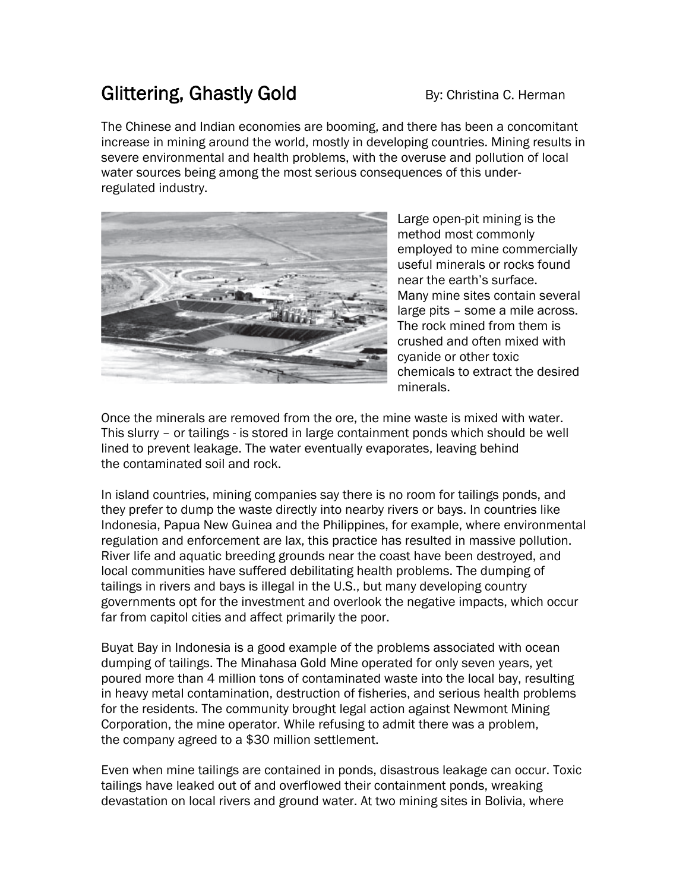## Glittering, Ghastly Gold By: Christina C. Herman

The Chinese and Indian economies are booming, and there has been a concomitant increase in mining around the world, mostly in developing countries. Mining results in severe environmental and health problems, with the overuse and pollution of local water sources being among the most serious consequences of this underregulated industry.



Large open-pit mining is the method most commonly employed to mine commercially useful minerals or rocks found near the earth's surface. Many mine sites contain several large pits – some a mile across. The rock mined from them is crushed and often mixed with cyanide or other toxic chemicals to extract the desired minerals.

Once the minerals are removed from the ore, the mine waste is mixed with water. This slurry – or tailings - is stored in large containment ponds which should be well lined to prevent leakage. The water eventually evaporates, leaving behind the contaminated soil and rock.

In island countries, mining companies say there is no room for tailings ponds, and they prefer to dump the waste directly into nearby rivers or bays. In countries like Indonesia, Papua New Guinea and the Philippines, for example, where environmental regulation and enforcement are lax, this practice has resulted in massive pollution. River life and aquatic breeding grounds near the coast have been destroyed, and local communities have suffered debilitating health problems. The dumping of tailings in rivers and bays is illegal in the U.S., but many developing country governments opt for the investment and overlook the negative impacts, which occur far from capitol cities and affect primarily the poor.

Buyat Bay in Indonesia is a good example of the problems associated with ocean dumping of tailings. The Minahasa Gold Mine operated for only seven years, yet poured more than 4 million tons of contaminated waste into the local bay, resulting in heavy metal contamination, destruction of fisheries, and serious health problems for the residents. The community brought legal action against Newmont Mining Corporation, the mine operator. While refusing to admit there was a problem, the company agreed to a \$30 million settlement.

Even when mine tailings are contained in ponds, disastrous leakage can occur. Toxic tailings have leaked out of and overflowed their containment ponds, wreaking devastation on local rivers and ground water. At two mining sites in Bolivia, where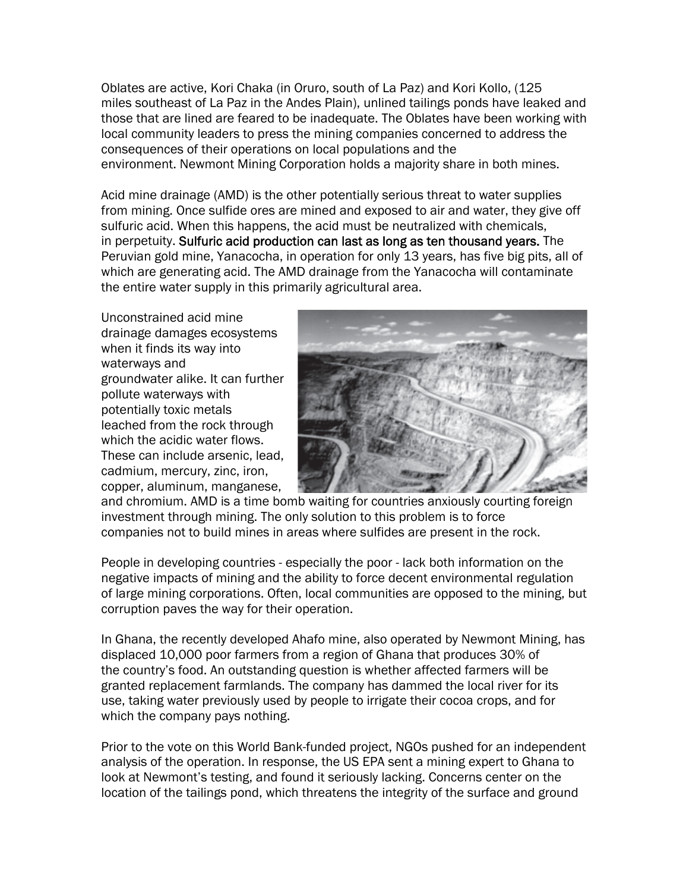Oblates are active, Kori Chaka (in Oruro, south of La Paz) and Kori Kollo, (125 miles southeast of La Paz in the Andes Plain), unlined tailings ponds have leaked and those that are lined are feared to be inadequate. The Oblates have been working with local community leaders to press the mining companies concerned to address the consequences of their operations on local populations and the environment. Newmont Mining Corporation holds a majority share in both mines.

Acid mine drainage (AMD) is the other potentially serious threat to water supplies from mining. Once sulfide ores are mined and exposed to air and water, they give off sulfuric acid. When this happens, the acid must be neutralized with chemicals, in perpetuity. Sulfuric acid production can last as long as ten thousand years. The Peruvian gold mine, Yanacocha, in operation for only 13 years, has five big pits, all of which are generating acid. The AMD drainage from the Yanacocha will contaminate the entire water supply in this primarily agricultural area.

Unconstrained acid mine drainage damages ecosystems when it finds its way into waterways and groundwater alike. It can further pollute waterways with potentially toxic metals leached from the rock through which the acidic water flows. These can include arsenic, lead, cadmium, mercury, zinc, iron, copper, aluminum, manganese,



and chromium. AMD is a time bomb waiting for countries anxiously courting foreign investment through mining. The only solution to this problem is to force companies not to build mines in areas where sulfides are present in the rock.

People in developing countries - especially the poor - lack both information on the negative impacts of mining and the ability to force decent environmental regulation of large mining corporations. Often, local communities are opposed to the mining, but corruption paves the way for their operation.

In Ghana, the recently developed Ahafo mine, also operated by Newmont Mining, has displaced 10,000 poor farmers from a region of Ghana that produces 30% of the country's food. An outstanding question is whether affected farmers will be granted replacement farmlands. The company has dammed the local river for its use, taking water previously used by people to irrigate their cocoa crops, and for which the company pays nothing.

Prior to the vote on this World Bank-funded project, NGOs pushed for an independent analysis of the operation. In response, the US EPA sent a mining expert to Ghana to look at Newmont's testing, and found it seriously lacking. Concerns center on the location of the tailings pond, which threatens the integrity of the surface and ground